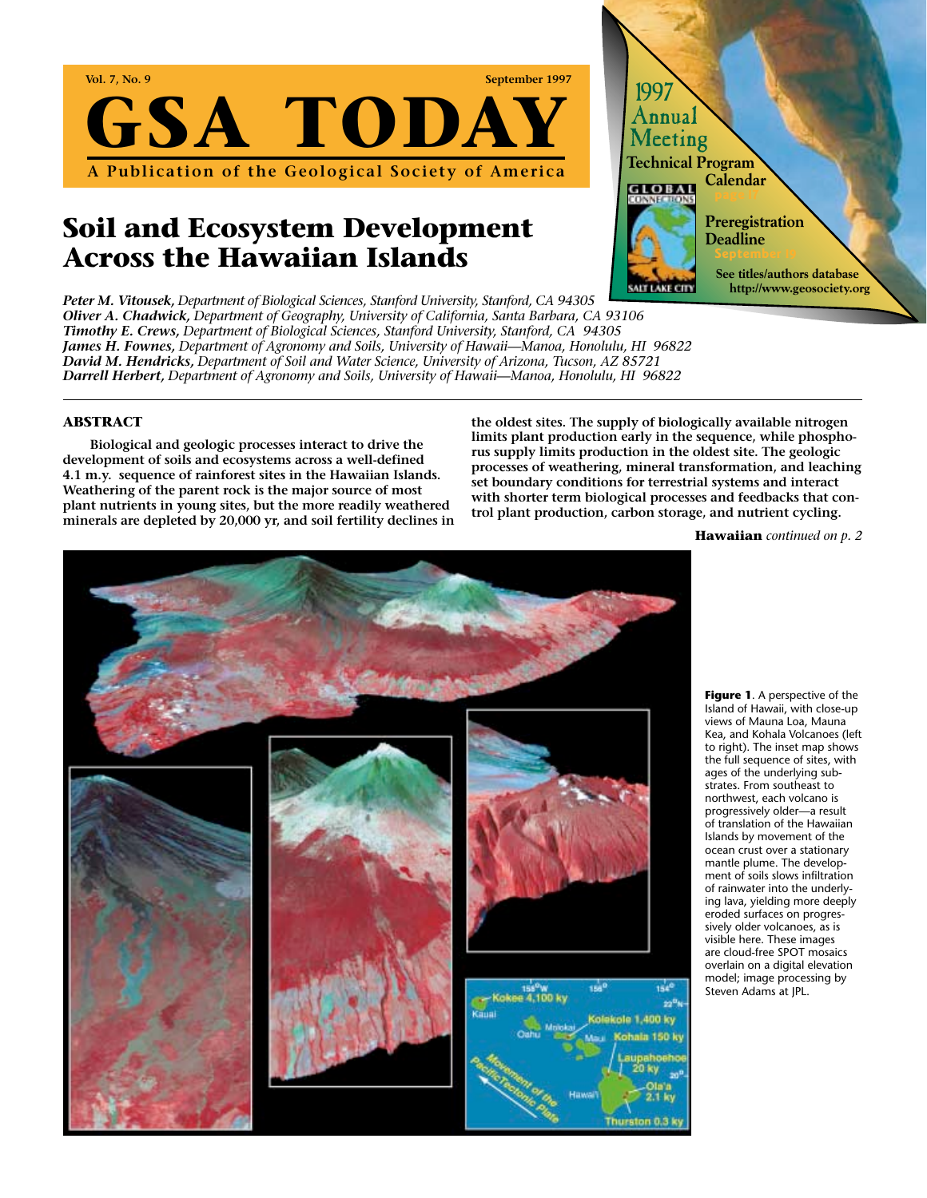

# **Soil and Ecosystem Development Across the Hawaiian Islands**

*Peter M. Vitousek, Department of Biological Sciences, Stanford University, Stanford, CA 94305 Oliver A. Chadwick, Department of Geography, University of California, Santa Barbara, CA 93106 Timothy E. Crews, Department of Biological Sciences, Stanford University, Stanford, CA 94305 James H. Fownes, Department of Agronomy and Soils, University of Hawaii—Manoa, Honolulu, HI 96822 David M. Hendricks, Department of Soil and Water Science, University of Arizona, Tucson, AZ 85721 Darrell Herbert, Department of Agronomy and Soils, University of Hawaii—Manoa, Honolulu, HI 96822*

### **ABSTRACT**

**Biological and geologic processes interact to drive the development of soils and ecosystems across a well-defined 4.1 m.y. sequence of rainforest sites in the Hawaiian Islands. Weathering of the parent rock is the major source of most plant nutrients in young sites, but the more readily weathered minerals are depleted by 20,000 yr, and soil fertility declines in**

**the oldest sites. The supply of biologically available nitrogen limits plant production early in the sequence, while phosphorus supply limits production in the oldest site. The geologic processes of weathering, mineral transformation, and leaching set boundary conditions for terrestrial systems and interact with shorter term biological processes and feedbacks that control plant production, carbon storage, and nutrient cycling.** 

1997 Annual Meeting

**GLOBAL** 

**Technical Program** 

**Calendar**

**Preregistration Deadline September 19**

> **See titles/authors database http://www.geosociety.org**

**Hawaiian** *continued on p. 2*



**Figure 1**. A perspective of the Island of Hawaii, with close-up views of Mauna Loa, Mauna Kea, and Kohala Volcanoes (left to right). The inset map shows the full sequence of sites, with ages of the underlying substrates. From southeast to northwest, each volcano is progressively older—a result of translation of the Hawaiian Islands by movement of the ocean crust over a stationary mantle plume. The development of soils slows infiltration of rainwater into the underlying lava, yielding more deeply eroded surfaces on progressively older volcanoes, as is visible here. These images are cloud-free SPOT mosaics overlain on a digital elevation model; image processing by Steven Adams at JPL.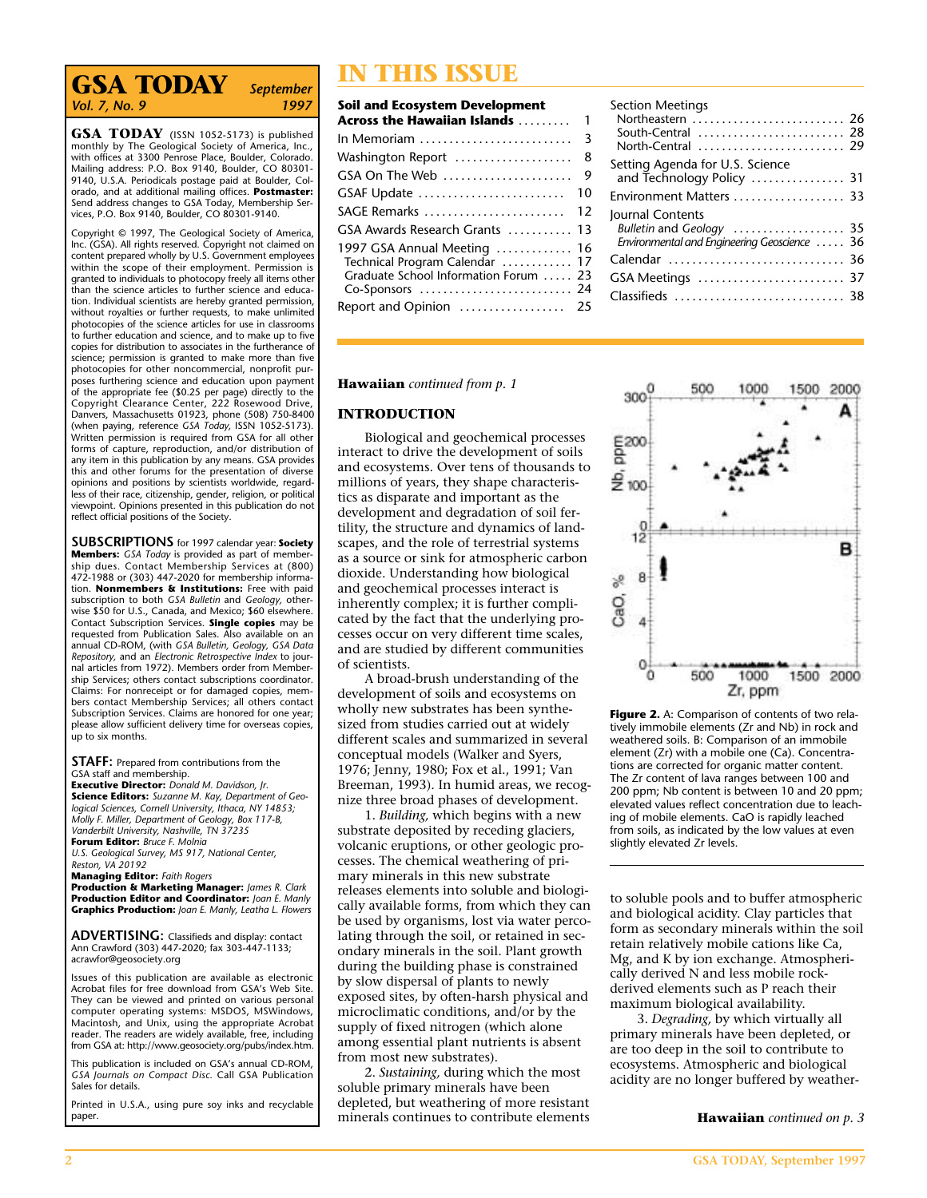# **IN THIS ISSUE**<br>Vol. 7, No. 9<br>1997 Soil and Ecosystem Developm *Vol. 7, No. 9*

**GSA TODAY** (ISSN 1052-5173) is published monthly by The Geological Society of America, Inc., with offices at 3300 Penrose Place, Boulder, Colorado. Mailing address: P.O. Box 9140, Boulder, CO 80301- 9140, U.S.A. Periodicals postage paid at Boulder, Colorado, and at additional mailing offices. **Postmaster:** Send address changes to GSA Today, Membership Services, P.O. Box 9140, Boulder, CO 80301-9140.

Copyright © 1997, The Geological Society of America, Inc. (GSA). All rights reserved. Copyright not claimed on content prepared wholly by U.S. Government employees within the scope of their employment. Permission is granted to individuals to photocopy freely all items other than the science articles to further science and education. Individual scientists are hereby granted permission, without royalties or further requests, to make unlimited photocopies of the science articles for use in classrooms to further education and science, and to make up to five copies for distribution to associates in the furtherance of science; permission is granted to make more than five photocopies for other noncommercial, nonprofit purposes furthering science and education upon payment of the appropriate fee (\$0.25 per page) directly to the Copyright Clearance Center, 222 Rosewood Drive, Danvers, Massachusetts 01923, phone (508) 750-8400 (when paying, reference *GSA Today,* ISSN 1052-5173). Written permission is required from GSA for all other forms of capture, reproduction, and/or distribution of any item in this publication by any means. GSA provides this and other forums for the presentation of diverse opinions and positions by scientists worldwide, regardless of their race, citizenship, gender, religion, or political viewpoint. Opinions presented in this publication do not reflect official positions of the Society.

**SUBSCRIPTIONS** for 1997 calendar year: **Society Members:** *GSA Today* is provided as part of membership dues. Contact Membership Services at (800) 472-1988 or (303) 447-2020 for membership information. **Nonmembers & Institutions:** Free with paid subscription to both *GSA Bulletin* and *Geology,* otherwise \$50 for U.S., Canada, and Mexico; \$60 elsewhere. Contact Subscription Services. **Single copies** may be requested from Publication Sales. Also available on an annual CD-ROM, (with *GSA Bulletin, Geology, GSA Data Repository,* and an *Electronic Retrospective Index* to journal articles from 1972). Members order from Membership Services; others contact subscriptions coordinator. Claims: For nonreceipt or for damaged copies, members contact Membership Services; all others contact Subscription Services. Claims are honored for one year; please allow sufficient delivery time for overseas copies, up to six months.

**STAFF:** Prepared from contributions from the GSA staff and membership.

**Executive Director:** *Donald M. Davidson, Jr.* **Science Editors:** *Suzanne M. Kay, Department of Geo-logical Sciences, Cornell University, Ithaca, NY 14853; Molly F. Miller, Department of Geology, Box 117-B, Vanderbilt University, Nashville, TN 37235* **Forum Editor:** *Bruce F. Molnia U.S. Geological Survey, MS 917, National Center,*

*Reston, VA 20192*

**Managing Editor:** *Faith Rogers*

**Production & Marketing Manager:** *James R. Clark* **Production Editor and Coordinator:** *Joan E. Manly* **Graphics Production:** *Joan E. Manly, Leatha L. Flowers*

**ADVERTISING:** Classifieds and display: contact Ann Crawford (303) 447-2020; fax 303-447-1133; acrawfor@geosociety.org

Issues of this publication are available as electronic Acrobat files for free download from GSA's Web Site. They can be viewed and printed on various personal computer operating systems: MSDOS, MSWindows, Macintosh, and Unix, using the appropriate Acrobat reader. The readers are widely available, free, including from GSA at: http://www.geosociety.org/pubs/index.htm.

This publication is included on GSA's annual CD-ROM, *GSA Journals on Compact Disc.* Call GSA Publication Sales for details.

Printed in U.S.A., using pure soy inks and recyclable paper.

| <b>Soil and Ecosystem Development</b>                                                                  |              |
|--------------------------------------------------------------------------------------------------------|--------------|
| Across the Hawaiian Islands                                                                            | $\mathbf{1}$ |
|                                                                                                        |              |
|                                                                                                        | 8            |
| GSA On The Web                                                                                         | - 9          |
| GSAF Update                                                                                            | 10           |
| SAGE Remarks  12                                                                                       |              |
| GSA Awards Research Grants  13                                                                         |              |
| 1997 GSA Annual Meeting  16<br>Technical Program Calendar  17<br>Graduate School Information Forum  23 |              |
| Report and Opinion  25                                                                                 |              |

| <b>Section Meetings</b><br>Northeastern  26<br>South-Central  28<br>North-Central  29 |  |
|---------------------------------------------------------------------------------------|--|
| Setting Agenda for U.S. Science                                                       |  |
| and Technology Policy  31                                                             |  |
| Environment Matters  33                                                               |  |
| Journal Contents                                                                      |  |
| Bulletin and Geology  35                                                              |  |
| Environmental and Engineering Geoscience  36                                          |  |
| Calendar  36                                                                          |  |
|                                                                                       |  |
|                                                                                       |  |
|                                                                                       |  |

**Hawaiian** *continued from p. 1*

### **INTRODUCTION**

Biological and geochemical processes interact to drive the development of soils and ecosystems. Over tens of thousands to millions of years, they shape characteristics as disparate and important as the development and degradation of soil fertility, the structure and dynamics of landscapes, and the role of terrestrial systems as a source or sink for atmospheric carbon dioxide. Understanding how biological and geochemical processes interact is inherently complex; it is further complicated by the fact that the underlying processes occur on very different time scales, and are studied by different communities of scientists.

A broad-brush understanding of the development of soils and ecosystems on wholly new substrates has been synthesized from studies carried out at widely different scales and summarized in several conceptual models (Walker and Syers, 1976; Jenny, 1980; Fox et al., 1991; Van Breeman, 1993). In humid areas, we recognize three broad phases of development.

1. *Building,* which begins with a new substrate deposited by receding glaciers, volcanic eruptions, or other geologic processes. The chemical weathering of primary minerals in this new substrate releases elements into soluble and biologically available forms, from which they can be used by organisms, lost via water percolating through the soil, or retained in secondary minerals in the soil. Plant growth during the building phase is constrained by slow dispersal of plants to newly exposed sites, by often-harsh physical and microclimatic conditions, and/or by the supply of fixed nitrogen (which alone among essential plant nutrients is absent from most new substrates).

2. *Sustaining,* during which the most soluble primary minerals have been depleted, but weathering of more resistant minerals continues to contribute elements



Figure 2. A: Comparison of contents of two relatively immobile elements (Zr and Nb) in rock and weathered soils. B: Comparison of an immobile element (Zr) with a mobile one (Ca). Concentrations are corrected for organic matter content. The Zr content of lava ranges between 100 and 200 ppm; Nb content is between 10 and 20 ppm; elevated values reflect concentration due to leaching of mobile elements. CaO is rapidly leached from soils, as indicated by the low values at even slightly elevated Zr levels.

to soluble pools and to buffer atmospheric and biological acidity. Clay particles that form as secondary minerals within the soil retain relatively mobile cations like Ca, Mg, and K by ion exchange. Atmospherically derived N and less mobile rockderived elements such as P reach their maximum biological availability.

3. *Degrading,* by which virtually all primary minerals have been depleted, or are too deep in the soil to contribute to ecosystems. Atmospheric and biological acidity are no longer buffered by weather-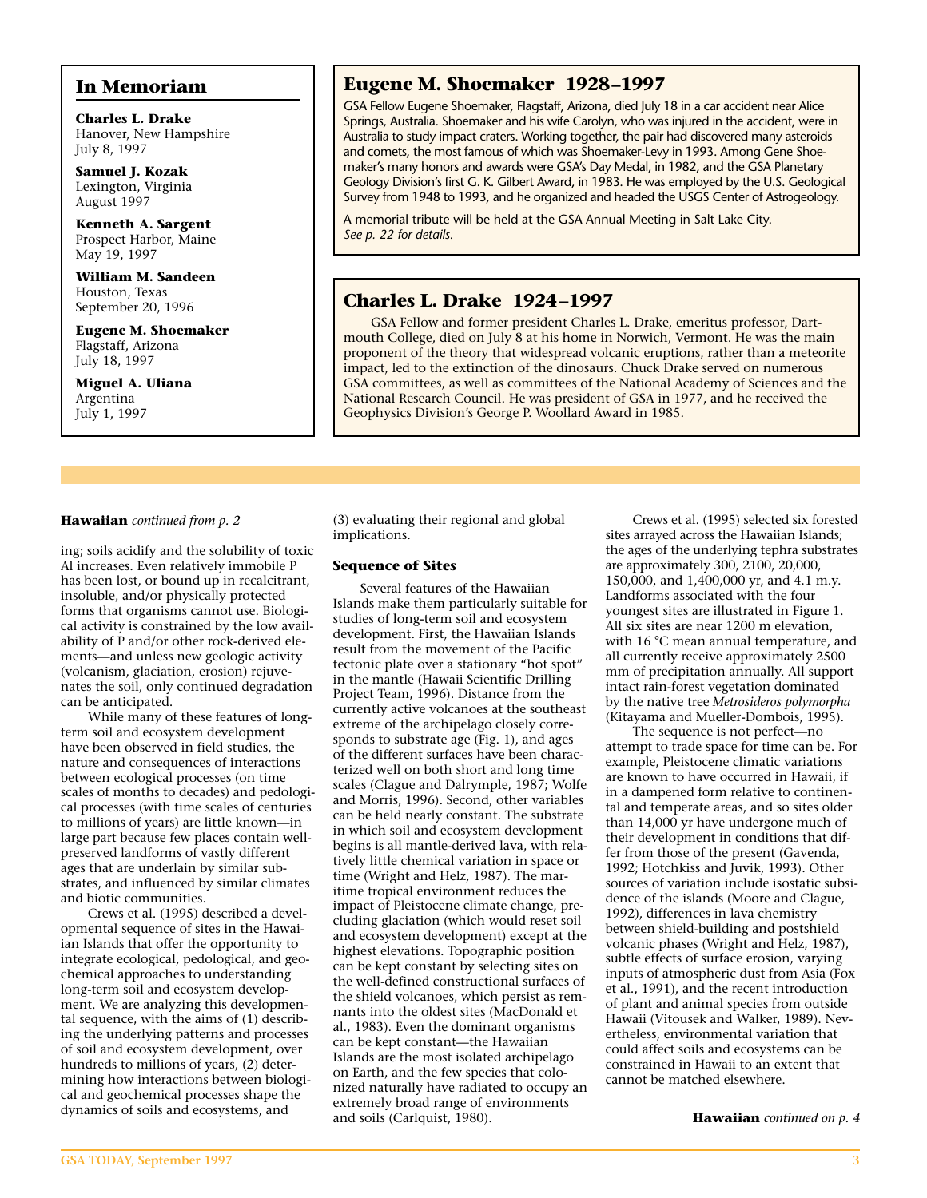**Miguel A. Uliana** Argentina July 1, 1997

**In Memoriam**

**Charles L. Drake** Hanover, New Hampshire

**Samuel J. Kozak** Lexington, Virginia August 1997

**Kenneth A. Sargent** Prospect Harbor, Maine

**William M. Sandeen** Houston, Texas September 20, 1996 **Eugene M. Shoemaker** Flagstaff, Arizona

July 8, 1997

May 19, 1997

### **Eugene M. Shoemaker 1928–1997**

GSA Fellow Eugene Shoemaker, Flagstaff, Arizona, died July 18 in a car accident near Alice Springs, Australia. Shoemaker and his wife Carolyn, who was injured in the accident, were in Australia to study impact craters. Working together, the pair had discovered many asteroids and comets, the most famous of which was Shoemaker-Levy in 1993. Among Gene Shoemaker's many honors and awards were GSA's Day Medal, in 1982, and the GSA Planetary Geology Division's first G. K. Gilbert Award, in 1983. He was employed by the U.S. Geological Survey from 1948 to 1993, and he organized and headed the USGS Center of Astrogeology.

A memorial tribute will be held at the GSA Annual Meeting in Salt Lake City. *See p. 22 for details.*

## **Charles L. Drake 1924–1997**

GSA Fellow and former president Charles L. Drake, emeritus professor, Dartmouth College, died on July 8 at his home in Norwich, Vermont. He was the main proponent of the theory that widespread volcanic eruptions, rather than a meteorite impact, led to the extinction of the dinosaurs. Chuck Drake served on numerous GSA committees, as well as committees of the National Academy of Sciences and the National Research Council. He was president of GSA in 1977, and he received the Geophysics Division's George P. Woollard Award in 1985.

#### **Hawaiian** *continued from p. 2*

ing; soils acidify and the solubility of toxic Al increases. Even relatively immobile P has been lost, or bound up in recalcitrant, insoluble, and/or physically protected forms that organisms cannot use. Biological activity is constrained by the low availability of P and/or other rock-derived elements—and unless new geologic activity (volcanism, glaciation, erosion) rejuvenates the soil, only continued degradation can be anticipated.

While many of these features of longterm soil and ecosystem development have been observed in field studies, the nature and consequences of interactions between ecological processes (on time scales of months to decades) and pedological processes (with time scales of centuries to millions of years) are little known—in large part because few places contain wellpreserved landforms of vastly different ages that are underlain by similar substrates, and influenced by similar climates and biotic communities.

Crews et al. (1995) described a developmental sequence of sites in the Hawaiian Islands that offer the opportunity to integrate ecological, pedological, and geochemical approaches to understanding long-term soil and ecosystem development. We are analyzing this developmental sequence, with the aims of (1) describing the underlying patterns and processes of soil and ecosystem development, over hundreds to millions of years, (2) determining how interactions between biological and geochemical processes shape the dynamics of soils and ecosystems, and

(3) evaluating their regional and global implications.

#### **Sequence of Sites**

Several features of the Hawaiian Islands make them particularly suitable for studies of long-term soil and ecosystem development. First, the Hawaiian Islands result from the movement of the Pacific tectonic plate over a stationary "hot spot" in the mantle (Hawaii Scientific Drilling Project Team, 1996). Distance from the currently active volcanoes at the southeast extreme of the archipelago closely corresponds to substrate age (Fig. 1), and ages of the different surfaces have been characterized well on both short and long time scales (Clague and Dalrymple, 1987; Wolfe and Morris, 1996). Second, other variables can be held nearly constant. The substrate in which soil and ecosystem development begins is all mantle-derived lava, with relatively little chemical variation in space or time (Wright and Helz, 1987). The maritime tropical environment reduces the impact of Pleistocene climate change, precluding glaciation (which would reset soil and ecosystem development) except at the highest elevations. Topographic position can be kept constant by selecting sites on the well-defined constructional surfaces of the shield volcanoes, which persist as remnants into the oldest sites (MacDonald et al., 1983). Even the dominant organisms can be kept constant—the Hawaiian Islands are the most isolated archipelago on Earth, and the few species that colonized naturally have radiated to occupy an extremely broad range of environments and soils (Carlquist, 1980).

Crews et al. (1995) selected six forested sites arrayed across the Hawaiian Islands; the ages of the underlying tephra substrates are approximately 300, 2100, 20,000, 150,000, and 1,400,000 yr, and 4.1 m.y. Landforms associated with the four youngest sites are illustrated in Figure 1. All six sites are near 1200 m elevation, with 16 °C mean annual temperature, and all currently receive approximately 2500 mm of precipitation annually. All support intact rain-forest vegetation dominated by the native tree *Metrosideros polymorpha* (Kitayama and Mueller-Dombois, 1995).

The sequence is not perfect—no attempt to trade space for time can be. For example, Pleistocene climatic variations are known to have occurred in Hawaii, if in a dampened form relative to continental and temperate areas, and so sites older than 14,000 yr have undergone much of their development in conditions that differ from those of the present (Gavenda, 1992; Hotchkiss and Juvik, 1993). Other sources of variation include isostatic subsidence of the islands (Moore and Clague, 1992), differences in lava chemistry between shield-building and postshield volcanic phases (Wright and Helz, 1987), subtle effects of surface erosion, varying inputs of atmospheric dust from Asia (Fox et al., 1991), and the recent introduction of plant and animal species from outside Hawaii (Vitousek and Walker, 1989). Nevertheless, environmental variation that could affect soils and ecosystems can be constrained in Hawaii to an extent that cannot be matched elsewhere.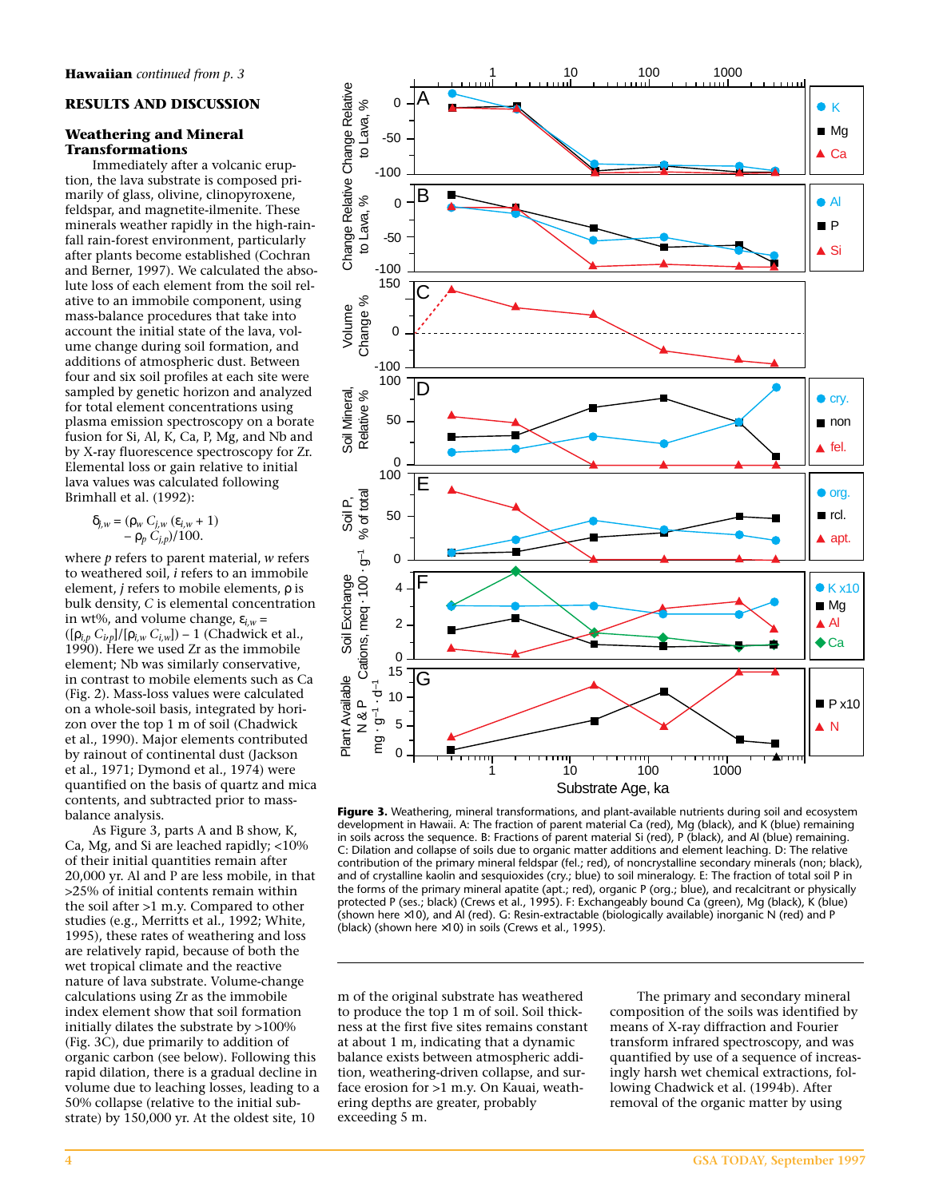#### **RESULTS AND DISCUSSION**

#### **Weathering and Mineral Transformations**

Immediately after a volcanic eruption, the lava substrate is composed primarily of glass, olivine, clinopyroxene, feldspar, and magnetite-ilmenite. These minerals weather rapidly in the high-rainfall rain-forest environment, particularly after plants become established (Cochran and Berner, 1997). We calculated the absolute loss of each element from the soil relative to an immobile component, using mass-balance procedures that take into account the initial state of the lava, volume change during soil formation, and additions of atmospheric dust. Between four and six soil profiles at each site were sampled by genetic horizon and analyzed for total element concentrations using plasma emission spectroscopy on a borate fusion for Si, Al, K, Ca, P, Mg, and Nb and by X-ray fluorescence spectroscopy for Zr. Elemental loss or gain relative to initial lava values was calculated following Brimhall et al. (1992):

$$
\delta_{j,w} = (\rho_w C_{j,w} (\varepsilon_{i,w} + 1) - \rho_p C_{j,p})/100.
$$

where *p* refers to parent material, *w* refers to weathered soil, *i* refers to an immobile element, *j* refers to mobile elements, ρ is bulk density, *C* is elemental concentration in wt%, and volume change,  $\varepsilon_{i,w}$  =  $([\rho_{i,p} C_{i,p}]/[\rho_{i,w} C_{i,w}]) - 1$  (Chadwick et al., 1990). Here we used Zr as the immobile element; Nb was similarly conservative, in contrast to mobile elements such as Ca (Fig. 2). Mass-loss values were calculated on a whole-soil basis, integrated by horizon over the top 1 m of soil (Chadwick et al., 1990). Major elements contributed by rainout of continental dust (Jackson et al., 1971; Dymond et al., 1974) were quantified on the basis of quartz and mica contents, and subtracted prior to massbalance analysis.

As Figure 3, parts A and B show, K, Ca, Mg, and Si are leached rapidly; <10% of their initial quantities remain after 20,000 yr. Al and P are less mobile, in that >25% of initial contents remain within the soil after >1 m.y. Compared to other studies (e.g., Merritts et al., 1992; White, 1995), these rates of weathering and loss are relatively rapid, because of both the wet tropical climate and the reactive nature of lava substrate. Volume-change calculations using Zr as the immobile index element show that soil formation initially dilates the substrate by >100% (Fig. 3C), due primarily to addition of organic carbon (see below). Following this rapid dilation, there is a gradual decline in volume due to leaching losses, leading to a 50% collapse (relative to the initial substrate) by 150,000 yr. At the oldest site, 10



**Figure 3.** Weathering, mineral transformations, and plant-available nutrients during soil and ecosystem development in Hawaii. A: The fraction of parent material Ca (red), Mg (black), and K (blue) remaining in soils across the sequence. B: Fractions of parent material Si (red), P (black), and Al (blue) remaining. C: Dilation and collapse of soils due to organic matter additions and element leaching. D: The relative contribution of the primary mineral feldspar (fel.; red), of noncrystalline secondary minerals (non; black), and of crystalline kaolin and sesquioxides (cry.; blue) to soil mineralogy. E: The fraction of total soil P in the forms of the primary mineral apatite (apt.; red), organic P (org.; blue), and recalcitrant or physically protected P (ses.; black) (Crews et al., 1995). F: Exchangeably bound Ca (green), Mg (black), K (blue) (shown here ×10), and Al (red). G: Resin-extractable (biologically available) inorganic N (red) and P (black) (shown here  $\times$ 10) in soils (Crews et al., 1995).

m of the original substrate has weathered to produce the top 1 m of soil. Soil thickness at the first five sites remains constant at about 1 m, indicating that a dynamic balance exists between atmospheric addition, weathering-driven collapse, and surface erosion for >1 m.y. On Kauai, weathering depths are greater, probably exceeding 5 m.

The primary and secondary mineral composition of the soils was identified by means of X-ray diffraction and Fourier transform infrared spectroscopy, and was quantified by use of a sequence of increasingly harsh wet chemical extractions, following Chadwick et al. (1994b). After removal of the organic matter by using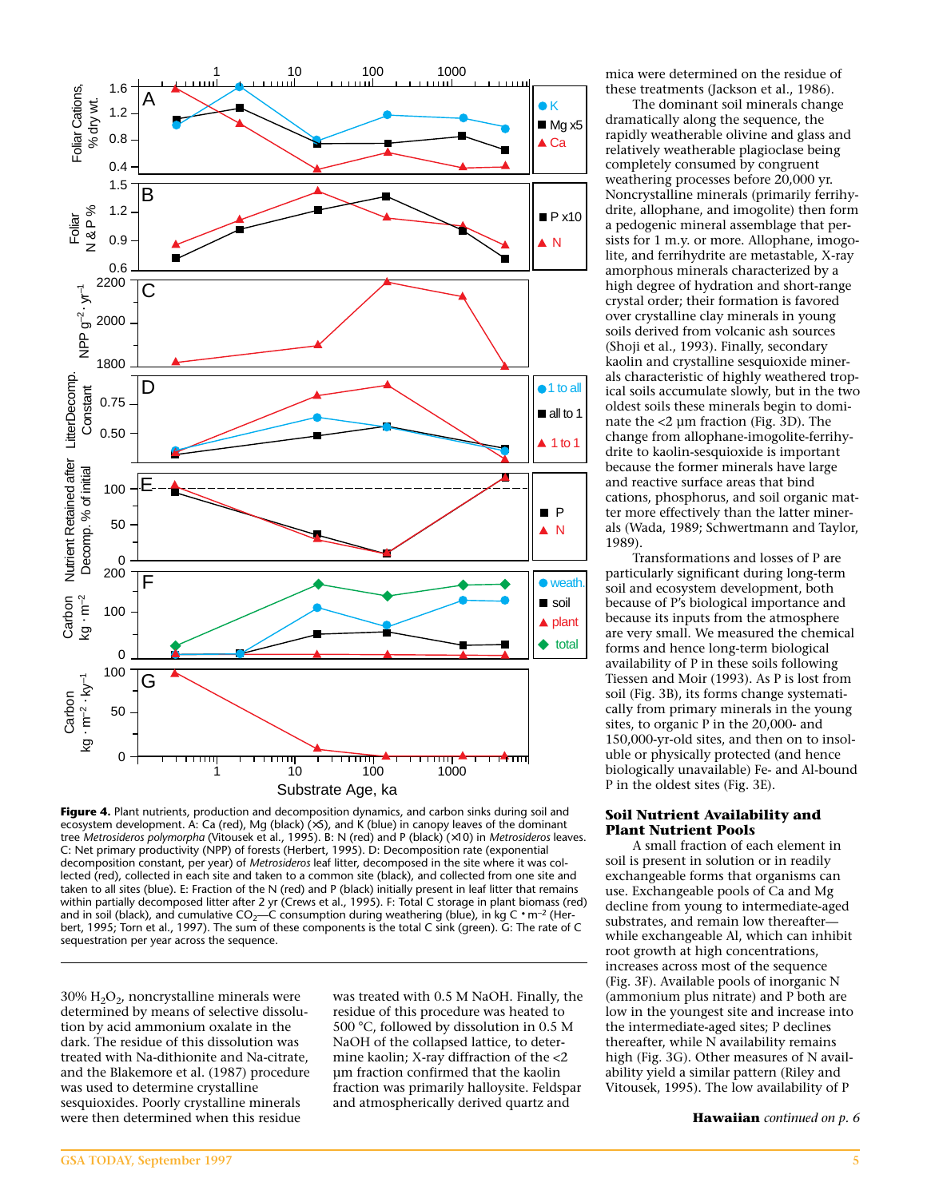

Figure 4. Plant nutrients, production and decomposition dynamics, and carbon sinks during soil and ecosystem development. A: Ca (red), Mg (black) (×5), and K (blue) in canopy leaves of the dominant tree *Metrosideros polymorpha* (Vitousek et al., 1995). B: N (red) and P (black) (×10) in *Metrosideros* leaves. C: Net primary productivity (NPP) of forests (Herbert, 1995). D: Decomposition rate (exponential decomposition constant, per year) of *Metrosideros* leaf litter, decomposed in the site where it was collected (red), collected in each site and taken to a common site (black), and collected from one site and taken to all sites (blue). E: Fraction of the N (red) and P (black) initially present in leaf litter that remains within partially decomposed litter after 2 yr (Crews et al., 1995). F: Total C storage in plant biomass (red) and in soil (black), and cumulative  $CO_2$ —C consumption during weathering (blue), in kg C • m<sup>-2</sup> (Herbert, 1995; Torn et al., 1997). The sum of these components is the total C sink (green). G: The rate of C sequestration per year across the sequence.

30%  $H<sub>2</sub>O<sub>2</sub>$ , noncrystalline minerals were determined by means of selective dissolution by acid ammonium oxalate in the dark. The residue of this dissolution was treated with Na-dithionite and Na-citrate, and the Blakemore et al. (1987) procedure was used to determine crystalline sesquioxides. Poorly crystalline minerals were then determined when this residue

was treated with 0.5 M NaOH. Finally, the residue of this procedure was heated to 500 °C, followed by dissolution in 0.5 M NaOH of the collapsed lattice, to determine kaolin; X-ray diffraction of the <2 µm fraction confirmed that the kaolin fraction was primarily halloysite. Feldspar and atmospherically derived quartz and

mica were determined on the residue of these treatments (Jackson et al., 1986).

The dominant soil minerals change dramatically along the sequence, the rapidly weatherable olivine and glass and relatively weatherable plagioclase being completely consumed by congruent weathering processes before 20,000 yr. Noncrystalline minerals (primarily ferrihydrite, allophane, and imogolite) then form a pedogenic mineral assemblage that persists for 1 m.y. or more. Allophane, imogolite, and ferrihydrite are metastable, X-ray amorphous minerals characterized by a high degree of hydration and short-range crystal order; their formation is favored over crystalline clay minerals in young soils derived from volcanic ash sources (Shoji et al., 1993). Finally, secondary kaolin and crystalline sesquioxide minerals characteristic of highly weathered tropical soils accumulate slowly, but in the two oldest soils these minerals begin to dominate the <2 µm fraction (Fig. 3D). The change from allophane-imogolite-ferrihydrite to kaolin-sesquioxide is important because the former minerals have large and reactive surface areas that bind cations, phosphorus, and soil organic matter more effectively than the latter minerals (Wada, 1989; Schwertmann and Taylor, 1989).

Transformations and losses of P are particularly significant during long-term soil and ecosystem development, both because of P's biological importance and because its inputs from the atmosphere are very small. We measured the chemical forms and hence long-term biological availability of P in these soils following Tiessen and Moir (1993). As P is lost from soil (Fig. 3B), its forms change systematically from primary minerals in the young sites, to organic P in the 20,000- and 150,000-yr-old sites, and then on to insoluble or physically protected (and hence biologically unavailable) Fe- and Al-bound P in the oldest sites (Fig. 3E).

#### **Soil Nutrient Availability and Plant Nutrient Pools**

A small fraction of each element in soil is present in solution or in readily exchangeable forms that organisms can use. Exchangeable pools of Ca and Mg decline from young to intermediate-aged substrates, and remain low thereafter while exchangeable Al, which can inhibit root growth at high concentrations, increases across most of the sequence (Fig. 3F). Available pools of inorganic N (ammonium plus nitrate) and P both are low in the youngest site and increase into the intermediate-aged sites; P declines thereafter, while N availability remains high (Fig. 3G). Other measures of N availability yield a similar pattern (Riley and Vitousek, 1995). The low availability of P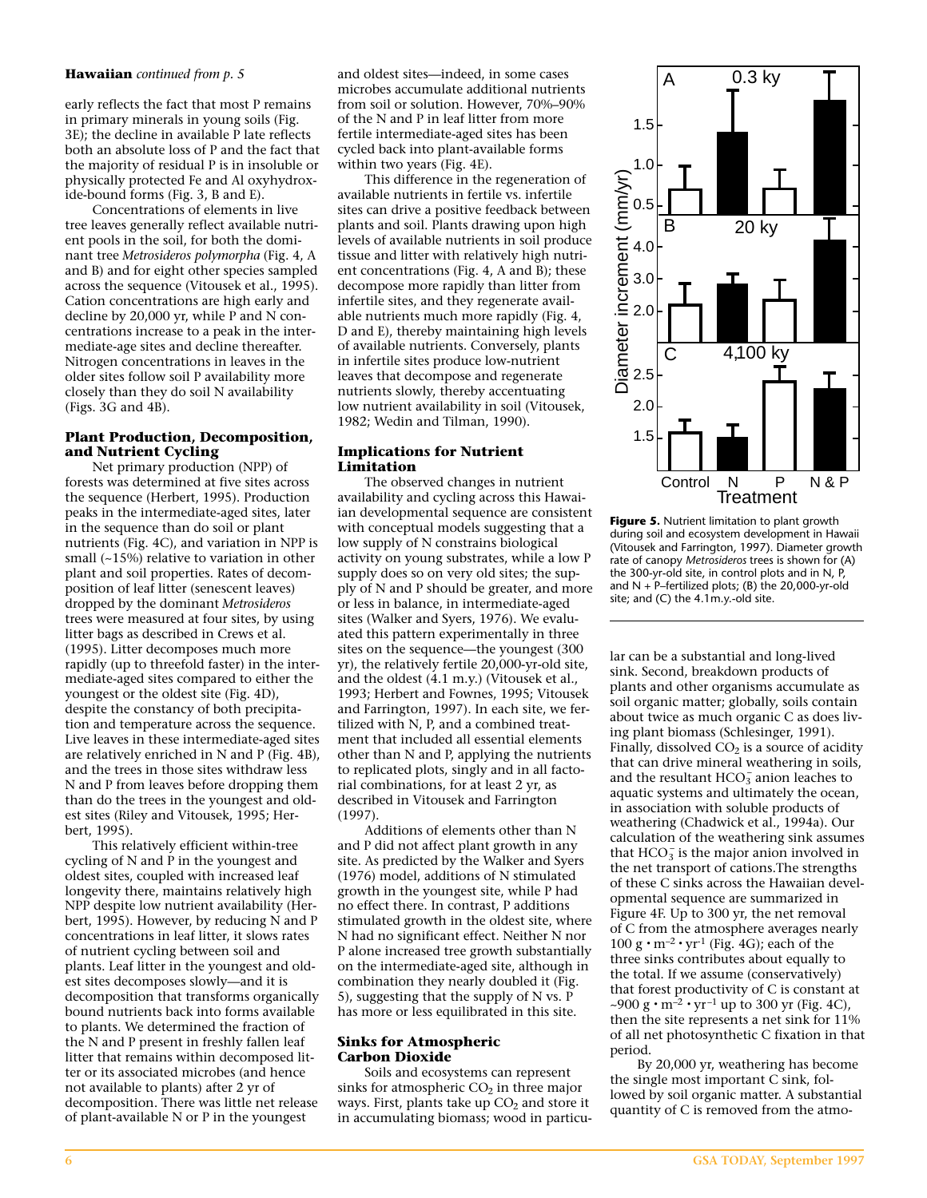#### **Hawaiian** *continued from p. 5*

early reflects the fact that most P remains in primary minerals in young soils (Fig. 3E); the decline in available P late reflects both an absolute loss of P and the fact that the majority of residual P is in insoluble or physically protected Fe and Al oxyhydroxide-bound forms (Fig. 3, B and E).

Concentrations of elements in live tree leaves generally reflect available nutrient pools in the soil, for both the dominant tree *Metrosideros polymorpha* (Fig. 4, A and B) and for eight other species sampled across the sequence (Vitousek et al., 1995). Cation concentrations are high early and decline by 20,000 yr, while P and N concentrations increase to a peak in the intermediate-age sites and decline thereafter. Nitrogen concentrations in leaves in the older sites follow soil P availability more closely than they do soil N availability (Figs. 3G and 4B).

#### **Plant Production, Decomposition, and Nutrient Cycling**

Net primary production (NPP) of forests was determined at five sites across the sequence (Herbert, 1995). Production peaks in the intermediate-aged sites, later in the sequence than do soil or plant nutrients (Fig. 4C), and variation in NPP is small (~15%) relative to variation in other plant and soil properties. Rates of decomposition of leaf litter (senescent leaves) dropped by the dominant *Metrosideros* trees were measured at four sites, by using litter bags as described in Crews et al. (1995). Litter decomposes much more rapidly (up to threefold faster) in the intermediate-aged sites compared to either the youngest or the oldest site (Fig. 4D), despite the constancy of both precipitation and temperature across the sequence. Live leaves in these intermediate-aged sites are relatively enriched in N and P (Fig. 4B), and the trees in those sites withdraw less N and P from leaves before dropping them than do the trees in the youngest and oldest sites (Riley and Vitousek, 1995; Herbert, 1995).

This relatively efficient within-tree cycling of N and P in the youngest and oldest sites, coupled with increased leaf longevity there, maintains relatively high NPP despite low nutrient availability (Herbert, 1995). However, by reducing N and P concentrations in leaf litter, it slows rates of nutrient cycling between soil and plants. Leaf litter in the youngest and oldest sites decomposes slowly—and it is decomposition that transforms organically bound nutrients back into forms available to plants. We determined the fraction of the N and P present in freshly fallen leaf litter that remains within decomposed litter or its associated microbes (and hence not available to plants) after 2 yr of decomposition. There was little net release of plant-available N or P in the youngest

and oldest sites—indeed, in some cases microbes accumulate additional nutrients from soil or solution. However, 70%–90% of the N and P in leaf litter from more fertile intermediate-aged sites has been cycled back into plant-available forms within two years (Fig. 4E).

This difference in the regeneration of available nutrients in fertile vs. infertile sites can drive a positive feedback between plants and soil. Plants drawing upon high levels of available nutrients in soil produce tissue and litter with relatively high nutrient concentrations (Fig. 4, A and B); these decompose more rapidly than litter from infertile sites, and they regenerate available nutrients much more rapidly (Fig. 4, D and E), thereby maintaining high levels of available nutrients. Conversely, plants in infertile sites produce low-nutrient leaves that decompose and regenerate nutrients slowly, thereby accentuating low nutrient availability in soil (Vitousek, 1982; Wedin and Tilman, 1990).

#### **Implications for Nutrient Limitation**

The observed changes in nutrient availability and cycling across this Hawaiian developmental sequence are consistent with conceptual models suggesting that a low supply of N constrains biological activity on young substrates, while a low P supply does so on very old sites; the supply of N and P should be greater, and more or less in balance, in intermediate-aged sites (Walker and Syers, 1976). We evaluated this pattern experimentally in three sites on the sequence—the youngest (300 yr), the relatively fertile 20,000-yr-old site, and the oldest (4.1 m.y.) (Vitousek et al., 1993; Herbert and Fownes, 1995; Vitousek and Farrington, 1997). In each site, we fertilized with N, P, and a combined treatment that included all essential elements other than N and P, applying the nutrients to replicated plots, singly and in all factorial combinations, for at least 2 yr, as described in Vitousek and Farrington (1997).

Additions of elements other than N and P did not affect plant growth in any site. As predicted by the Walker and Syers (1976) model, additions of N stimulated growth in the youngest site, while P had no effect there. In contrast, P additions stimulated growth in the oldest site, where N had no significant effect. Neither N nor P alone increased tree growth substantially on the intermediate-aged site, although in combination they nearly doubled it (Fig. 5), suggesting that the supply of N vs. P has more or less equilibrated in this site.

#### **Sinks for Atmospheric Carbon Dioxide**

Soils and ecosystems can represent sinks for atmospheric  $CO<sub>2</sub>$  in three major ways. First, plants take up  $CO<sub>2</sub>$  and store it in accumulating biomass; wood in particu-



**Figure 5.** Nutrient limitation to plant growth during soil and ecosystem development in Hawaii (Vitousek and Farrington, 1997). Diameter growth rate of canopy *Metrosideros* trees is shown for (A) the 300-yr-old site, in control plots and in N, P, and  $N + P$ –fertilized plots; (B) the 20,000-yr-old site; and (C) the 4.1m.y.-old site.

lar can be a substantial and long-lived sink. Second, breakdown products of plants and other organisms accumulate as soil organic matter; globally, soils contain about twice as much organic C as does living plant biomass (Schlesinger, 1991). Finally, dissolved  $CO<sub>2</sub>$  is a source of acidity that can drive mineral weathering in soils, and the resultant  $HCO_3^-$  anion leaches to aquatic systems and ultimately the ocean, in association with soluble products of weathering (Chadwick et al., 1994a). Our calculation of the weathering sink assumes that  $HCO_3^-$  is the major anion involved in the net transport of cations.The strengths of these C sinks across the Hawaiian developmental sequence are summarized in Figure 4F. Up to 300 yr, the net removal of C from the atmosphere averages nearly 100 g  $\cdot$  m<sup>-2</sup>  $\cdot$  yr<sup>-1</sup> (Fig. 4G); each of the three sinks contributes about equally to the total. If we assume (conservatively) that forest productivity of C is constant at ~900 g  $\cdot$  m<sup>-2</sup>  $\cdot$  yr<sup>-1</sup> up to 300 yr (Fig. 4C), then the site represents a net sink for 11% of all net photosynthetic C fixation in that period.

By 20,000 yr, weathering has become the single most important C sink, followed by soil organic matter. A substantial quantity of C is removed from the atmo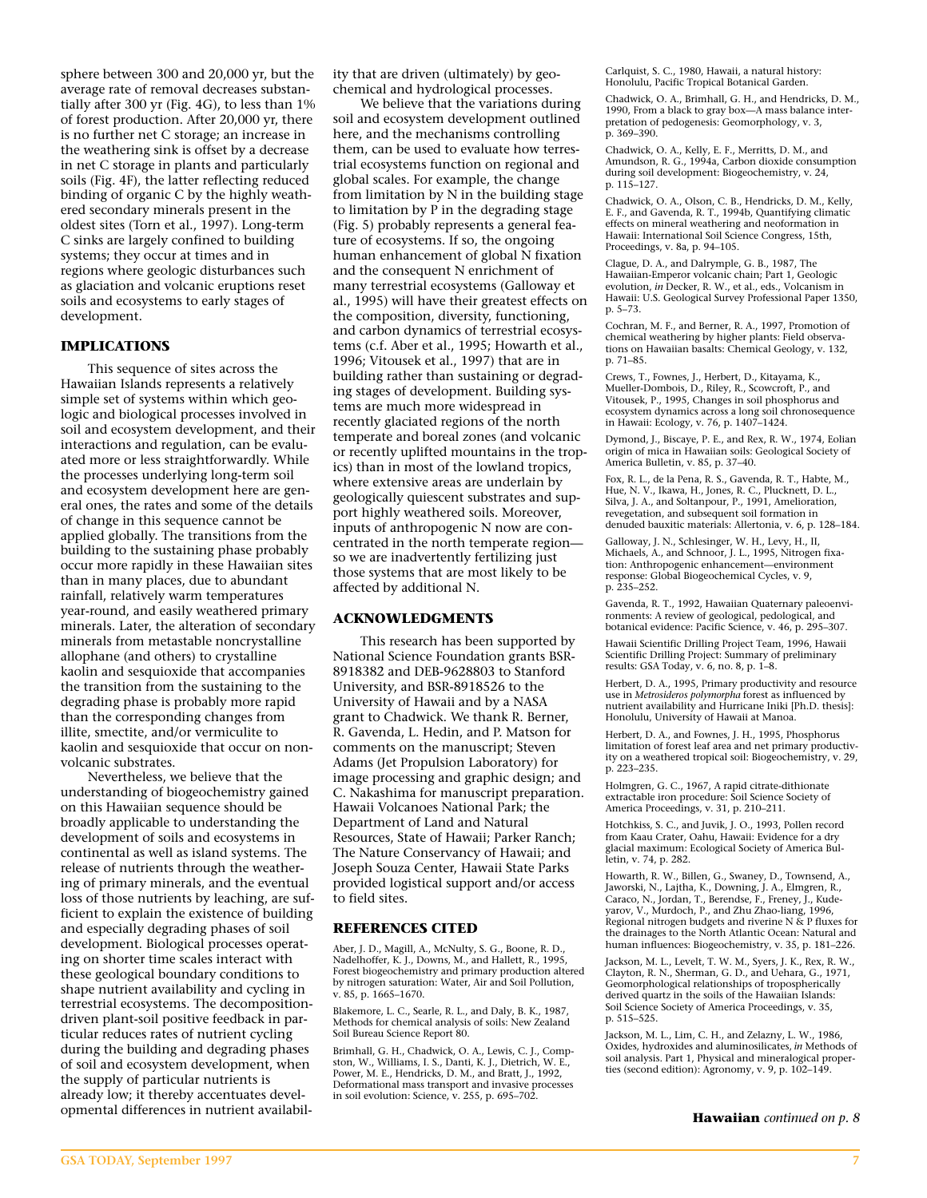sphere between 300 and 20,000 yr, but the average rate of removal decreases substantially after 300 yr (Fig. 4G), to less than 1% of forest production. After 20,000 yr, there is no further net C storage; an increase in the weathering sink is offset by a decrease in net C storage in plants and particularly soils (Fig. 4F), the latter reflecting reduced binding of organic C by the highly weathered secondary minerals present in the oldest sites (Torn et al., 1997). Long-term C sinks are largely confined to building systems; they occur at times and in regions where geologic disturbances such as glaciation and volcanic eruptions reset soils and ecosystems to early stages of development.

### **IMPLICATIONS**

This sequence of sites across the Hawaiian Islands represents a relatively simple set of systems within which geologic and biological processes involved in soil and ecosystem development, and their interactions and regulation, can be evaluated more or less straightforwardly. While the processes underlying long-term soil and ecosystem development here are general ones, the rates and some of the details of change in this sequence cannot be applied globally. The transitions from the building to the sustaining phase probably occur more rapidly in these Hawaiian sites than in many places, due to abundant rainfall, relatively warm temperatures year-round, and easily weathered primary minerals. Later, the alteration of secondary minerals from metastable noncrystalline allophane (and others) to crystalline kaolin and sesquioxide that accompanies the transition from the sustaining to the degrading phase is probably more rapid than the corresponding changes from illite, smectite, and/or vermiculite to kaolin and sesquioxide that occur on nonvolcanic substrates.

Nevertheless, we believe that the understanding of biogeochemistry gained on this Hawaiian sequence should be broadly applicable to understanding the development of soils and ecosystems in continental as well as island systems. The release of nutrients through the weathering of primary minerals, and the eventual loss of those nutrients by leaching, are sufficient to explain the existence of building and especially degrading phases of soil development. Biological processes operating on shorter time scales interact with these geological boundary conditions to shape nutrient availability and cycling in terrestrial ecosystems. The decompositiondriven plant-soil positive feedback in particular reduces rates of nutrient cycling during the building and degrading phases of soil and ecosystem development, when the supply of particular nutrients is already low; it thereby accentuates developmental differences in nutrient availability that are driven (ultimately) by geochemical and hydrological processes.

We believe that the variations during soil and ecosystem development outlined here, and the mechanisms controlling them, can be used to evaluate how terrestrial ecosystems function on regional and global scales. For example, the change from limitation by N in the building stage to limitation by P in the degrading stage (Fig. 5) probably represents a general feature of ecosystems. If so, the ongoing human enhancement of global N fixation and the consequent N enrichment of many terrestrial ecosystems (Galloway et al., 1995) will have their greatest effects on the composition, diversity, functioning, and carbon dynamics of terrestrial ecosystems (c.f. Aber et al., 1995; Howarth et al., 1996; Vitousek et al., 1997) that are in building rather than sustaining or degrading stages of development. Building systems are much more widespread in recently glaciated regions of the north temperate and boreal zones (and volcanic or recently uplifted mountains in the tropics) than in most of the lowland tropics, where extensive areas are underlain by geologically quiescent substrates and support highly weathered soils. Moreover, inputs of anthropogenic N now are concentrated in the north temperate region so we are inadvertently fertilizing just those systems that are most likely to be affected by additional N.

#### **ACKNOWLEDGMENTS**

This research has been supported by National Science Foundation grants BSR-8918382 and DEB-9628803 to Stanford University, and BSR-8918526 to the University of Hawaii and by a NASA grant to Chadwick. We thank R. Berner, R. Gavenda, L. Hedin, and P. Matson for comments on the manuscript; Steven Adams (Jet Propulsion Laboratory) for image processing and graphic design; and C. Nakashima for manuscript preparation. Hawaii Volcanoes National Park; the Department of Land and Natural Resources, State of Hawaii; Parker Ranch; The Nature Conservancy of Hawaii; and Joseph Souza Center, Hawaii State Parks provided logistical support and/or access to field sites.

#### **REFERENCES CITED**

Aber, J. D., Magill, A., McNulty, S. G., Boone, R. D., Nadelhoffer, K. J., Downs, M., and Hallett, R., 1995, Forest biogeochemistry and primary production altered by nitrogen saturation: Water, Air and Soil Pollution, v. 85, p. 1665–1670.

Blakemore, L. C., Searle, R. L., and Daly, B. K., 1987, Methods for chemical analysis of soils: New Zealand Soil Bureau Science Report 80.

Brimhall, G. H., Chadwick, O. A., Lewis, C. J., Compston, W., Williams, I. S., Danti, K. J., Dietrich, W. E., Power, M. E., Hendricks, D. M., and Bratt, J., 1992, Deformational mass transport and invasive processes in soil evolution: Science, v. 255, p. 695–702.

Carlquist, S. C., 1980, Hawaii, a natural history: Honolulu, Pacific Tropical Botanical Garden.

Chadwick, O. A., Brimhall, G. H., and Hendricks, D. M., 1990, From a black to gray box—A mass balance interpretation of pedogenesis: Geomorphology, v. 3, p. 369–390.

Chadwick, O. A., Kelly, E. F., Merritts, D. M., and Amundson, R. G., 1994a, Carbon dioxide consumption during soil development: Biogeochemistry, v. 24, p. 115–127.

Chadwick, O. A., Olson, C. B., Hendricks, D. M., Kelly, E. F., and Gavenda, R. T., 1994b, Quantifying climatic effects on mineral weathering and neoformation in Hawaii: International Soil Science Congress, 15th, Proceedings, v. 8a, p. 94–105.

Clague, D. A., and Dalrymple, G. B., 1987, The Hawaiian-Emperor volcanic chain; Part 1, Geologic evolution, *in* Decker, R. W., et al., eds., Volcanism in Hawaii: U.S. Geological Survey Professional Paper 1350, p. 5–73.

Cochran, M. F., and Berner, R. A., 1997, Promotion of chemical weathering by higher plants: Field observations on Hawaiian basalts: Chemical Geology, v. 132, p. 71–85.

Crews, T., Fownes, J., Herbert, D., Kitayama, K., Mueller-Dombois, D., Riley, R., Scowcroft, P., and Vitousek, P., 1995, Changes in soil phosphorus and ecosystem dynamics across a long soil chronosequence in Hawaii: Ecology, v. 76, p. 1407–1424.

Dymond, J., Biscaye, P. E., and Rex, R. W., 1974, Eolian origin of mica in Hawaiian soils: Geological Society of America Bulletin, v. 85, p. 37–40.

Fox, R. L., de la Pena, R. S., Gavenda, R. T., Habte, M., Hue, N. V., Ikawa, H., Jones, R. C., Plucknett, D. L., Silva, J. A., and Soltanpour, P., 1991, Amelioration, revegetation, and subsequent soil formation in denuded bauxitic materials: Allertonia, v. 6, p. 128–184.

Galloway, J. N., Schlesinger, W. H., Levy, H., II, Michaels, A., and Schnoor, J. L., 1995, Nitrogen fixation: Anthropogenic enhancement—environment response: Global Biogeochemical Cycles, v. 9, p. 235–252.

Gavenda, R. T., 1992, Hawaiian Quaternary paleoenvironments: A review of geological, pedological, and botanical evidence: Pacific Science, v. 46, p. 295–307.

Hawaii Scientific Drilling Project Team, 1996, Hawaii Scientific Drilling Project: Summary of preliminary results: GSA Today, v. 6, no. 8, p. 1–8.

Herbert, D. A., 1995, Primary productivity and resource use in *Metrosideros polymorpha* forest as influenced by nutrient availability and Hurricane Iniki [Ph.D. thesis]: Honolulu, University of Hawaii at Manoa.

Herbert, D. A., and Fownes, J. H., 1995, Phosphorus limitation of forest leaf area and net primary productivity on a weathered tropical soil: Biogeochemistry, v. 29, p. 223–235.

Holmgren, G. C., 1967, A rapid citrate-dithionate extractable iron procedure: Soil Science Society of America Proceedings, v. 31, p. 210–211.

Hotchkiss, S. C., and Juvik, J. O., 1993, Pollen record from Kaau Crater, Oahu, Hawaii: Evidence for a dry glacial maximum: Ecological Society of America Bulletin, v. 74, p. 282.

Howarth, R. W., Billen, G., Swaney, D., Townsend, A., Jaworski, N., Lajtha, K., Downing, J. A., Elmgren, R., Caraco, N., Jordan, T., Berendse, F., Freney, J., Kudeyarov, V., Murdoch, P., and Zhu Zhao-liang, 1996, Regional nitrogen budgets and riverine N & P fluxes for the drainages to the North Atlantic Ocean: Natural and human influences: Biogeochemistry, v. 35, p. 181–226.

Jackson, M. L., Levelt, T. W. M., Syers, J. K., Rex, R. W., Clayton, R. N., Sherman, G. D., and Uehara, G., 1971, Geomorphological relationships of tropospherically derived quartz in the soils of the Hawaiian Islands: Soil Science Society of America Proceedings, v. 35, p. 515–525.

Jackson, M. L., Lim, C. H., and Zelazny, L. W., 1986, Oxides, hydroxides and aluminosilicates, *in* Methods of soil analysis. Part 1, Physical and mineralogical properties (second edition): Agronomy, v. 9, p. 102–149.